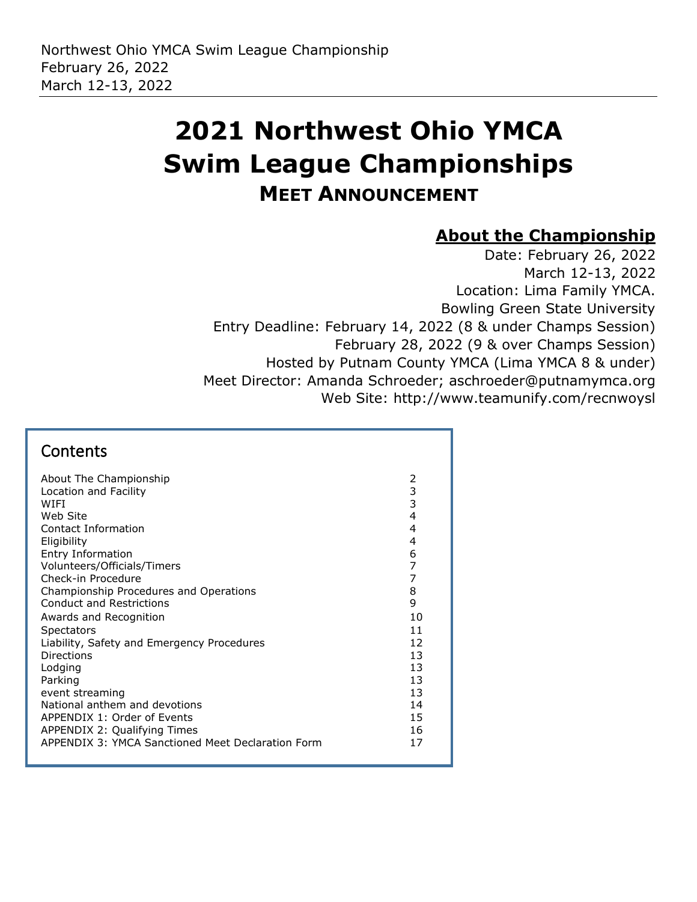# **2021 Northwest Ohio YMCA Swim League Championships MEET ANNOUNCEMENT**

### **About the Championship**

Date: February 26, 2022 March 12-13, 2022 Location: Lima Family YMCA. Bowling Green State University Entry Deadline: February 14, 2022 (8 & under Champs Session) February 28, 2022 (9 & over Champs Session) Hosted by Putnam County YMCA (Lima YMCA 8 & under) Meet Director: Amanda Schroeder; aschroeder@putnamymca.org Web Site: http://www.teamunify.com/recnwoysl

#### **Contents** [About The Championship](#page-1-0) 2 [Location and Facility](#page-2-0) 3 [WIFI](#page-2-1)  $\sim$  3 [Web Site](#page-3-0) 4 [Contact Information](#page-3-1) 4 [Eligibility](#page-3-2) 4 [Entry Information](#page-5-0) 6 [Volunteers/Officials/Timers](#page-6-0) 7 [Check-in Procedure](#page-6-1) 7 [Championship Procedures and Operations](#page-7-0) 8 Conduct and Restrictions 9 Awards and Recognition 10 [Spectators](#page-10-0) and the set of the set of the set of the set of the set of the set of the set of the set of the set of the set of the set of the set of the set of the set of the set of the set of the set of the set of the set o [Liability, Safety and Emergency Procedures](#page-11-0) 12 [Directions](#page-12-0) 13 [Lodging](#page-12-1) 13 [Parking](#page-12-2) the contract of the contract of the contract of the contract of the contract of the contract of the contract of the contract of the contract of the contract of the contract of the contract of the contract of the co [event streaming](#page-12-3) and the streaming of the streaming streaming and the streaming streaming streaming and the streaming streaming streaming and the streaming streaming streaming streaming streaming streaming streaming streami [National anthem and devotions](#page-13-0) and the state of the state of the state of the state of the state of the state of the state of the state of the state of the state of the state of the state of the state of the state of the st [APPENDIX 1: Order of Events](#page-14-0) 15 [APPENDIX 2: Qualifying Times](#page-15-0) 16 [APPENDIX 3: YMCA Sanctioned Meet Declaration Form](#page-16-0) 17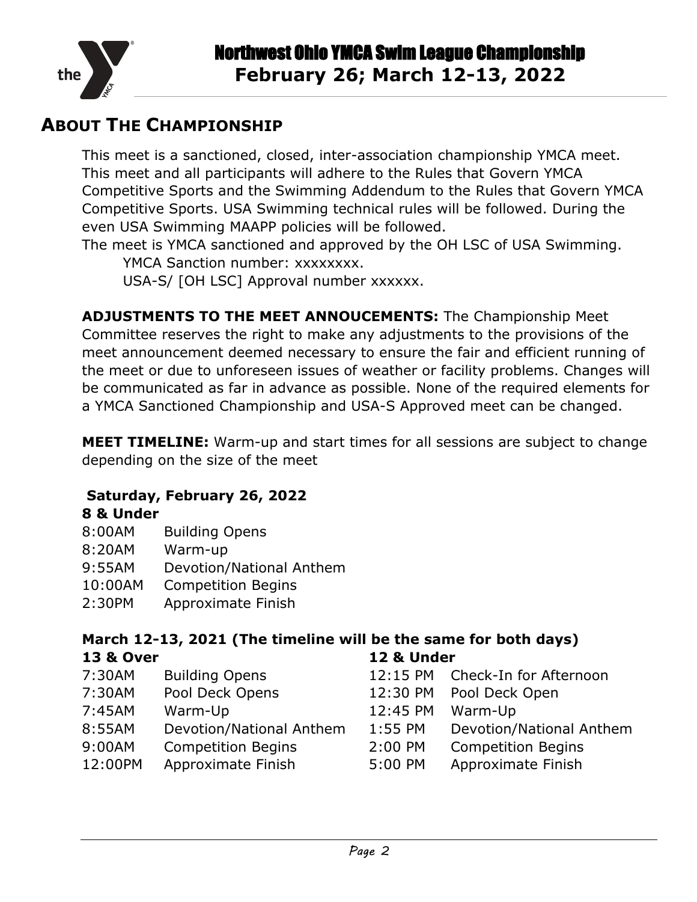

### <span id="page-1-0"></span>**ABOUT THE CHAMPIONSHIP**

This meet is a sanctioned, closed, inter-association championship YMCA meet. This meet and all participants will adhere to the Rules that Govern YMCA Competitive Sports and the Swimming Addendum to the Rules that Govern YMCA Competitive Sports. USA Swimming technical rules will be followed. During the even USA Swimming MAAPP policies will be followed.

The meet is YMCA sanctioned and approved by the OH LSC of USA Swimming. YMCA Sanction number: xxxxxxxx.

USA-S/ [OH LSC] Approval number xxxxxx.

**ADJUSTMENTS TO THE MEET ANNOUCEMENTS:** The Championship Meet Committee reserves the right to make any adjustments to the provisions of the meet announcement deemed necessary to ensure the fair and efficient running of the meet or due to unforeseen issues of weather or facility problems. Changes will be communicated as far in advance as possible. None of the required elements for a YMCA Sanctioned Championship and USA-S Approved meet can be changed.

**MEET TIMELINE:** Warm-up and start times for all sessions are subject to change depending on the size of the meet

#### **Saturday, February 26, 2022**

#### **8 & Under**

- 8:00AM Building Opens
- 8:20AM Warm-up
- 9:55AM Devotion/National Anthem
- 10:00AM Competition Begins
- 2:30PM Approximate Finish

#### **March 12-13, 2021 (The timeline will be the same for both days) 13 & Over 12 & Under**

- 
- 7:30AM Pool Deck Opens 12:30 PM Pool Deck Open
- 7:45AM Warm-Up 12:45 PM Warm-Up
- 8:55AM Devotion/National Anthem 1:55 PM Devotion/National Anthem
- 9:00AM Competition Begins 2:00 PM Competition Begins
- 12:00PM Approximate Finish 5:00 PM Approximate Finish
- 7:30AM Building Opens 12:15 PM Check-In for Afternoon
	-
	-
	-
	-
	-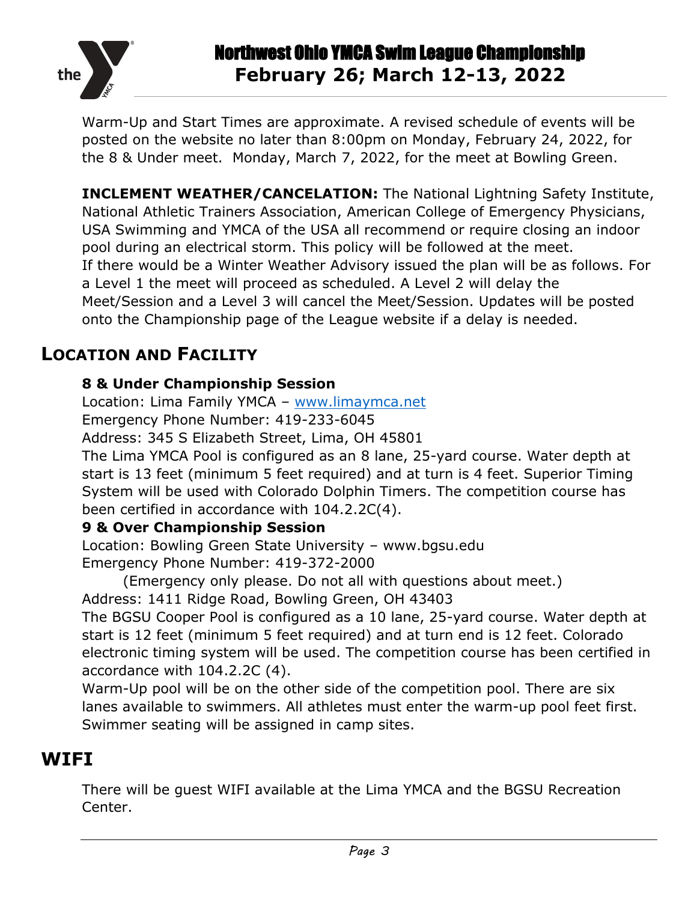

Warm-Up and Start Times are approximate. A revised schedule of events will be posted on the website no later than 8:00pm on Monday, February 24, 2022, for the 8 & Under meet. Monday, March 7, 2022, for the meet at Bowling Green.

**INCLEMENT WEATHER/CANCELATION:** The National Lightning Safety Institute, National Athletic Trainers Association, American College of Emergency Physicians, USA Swimming and YMCA of the USA all recommend or require closing an indoor pool during an electrical storm. This policy will be followed at the meet. If there would be a Winter Weather Advisory issued the plan will be as follows. For a Level 1 the meet will proceed as scheduled. A Level 2 will delay the Meet/Session and a Level 3 will cancel the Meet/Session. Updates will be posted onto the Championship page of the League website if a delay is needed.

### <span id="page-2-0"></span>**LOCATION AND FACILITY**

### **8 & Under Championship Session**

Location: Lima Family YMCA – [www.limaymca.net](http://www.limaymca.net/)

Emergency Phone Number: 419-233-6045

Address: 345 S Elizabeth Street, Lima, OH 45801

The Lima YMCA Pool is configured as an 8 lane, 25-yard course. Water depth at start is 13 feet (minimum 5 feet required) and at turn is 4 feet. Superior Timing System will be used with Colorado Dolphin Timers. The competition course has been certified in accordance with 104.2.2C(4).

#### **9 & Over Championship Session**

Location: Bowling Green State University – www.bgsu.edu Emergency Phone Number: 419-372-2000

(Emergency only please. Do not all with questions about meet.)

Address: 1411 Ridge Road, Bowling Green, OH 43403

The BGSU Cooper Pool is configured as a 10 lane, 25-yard course. Water depth at start is 12 feet (minimum 5 feet required) and at turn end is 12 feet. Colorado electronic timing system will be used. The competition course has been certified in accordance with 104.2.2C (4).

Warm-Up pool will be on the other side of the competition pool. There are six lanes available to swimmers. All athletes must enter the warm-up pool feet first. Swimmer seating will be assigned in camp sites.

### <span id="page-2-1"></span>**WIFI**

There will be guest WIFI available at the Lima YMCA and the BGSU Recreation Center.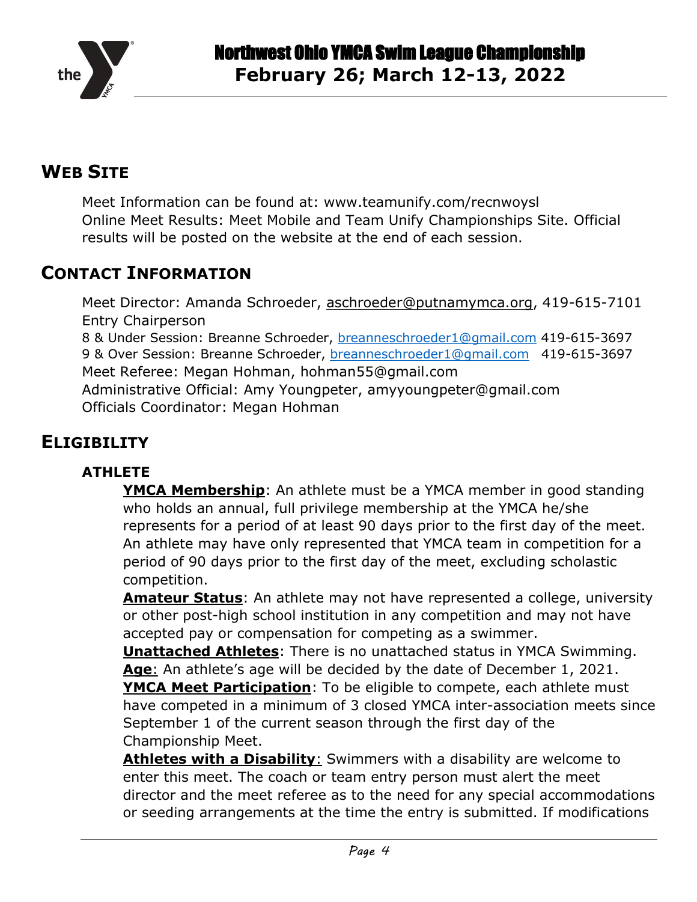

### <span id="page-3-0"></span>**WEB SITE**

Meet Information can be found at: www.teamunify.com/recnwoysl Online Meet Results: Meet Mobile and Team Unify Championships Site. Official results will be posted on the website at the end of each session.

### <span id="page-3-1"></span>**CONTACT INFORMATION**

Meet Director: Amanda Schroeder, [aschroeder@putnamymca.org,](mailto:aschroeder@putnamymca.org) 419-615-7101 Entry Chairperson

8 & Under Session: Breanne Schroeder, [breanneschroeder1@gmail.com](mailto:breanneschroeder1@gmail.com) 419-615-3697 9 & Over Session: Breanne Schroeder, [breanneschroeder1@gmail.com](mailto:breanneschroeder1@gmail.com) 419-615-3697 Meet Referee: Megan Hohman, hohman55@gmail.com Administrative Official: Amy Youngpeter, amyyoungpeter@gmail.com Officials Coordinator: Megan Hohman

### <span id="page-3-2"></span>**ELIGIBILITY**

#### **ATHLETE**

**YMCA Membership**: An athlete must be a YMCA member in good standing who holds an annual, full privilege membership at the YMCA he/she represents for a period of at least 90 days prior to the first day of the meet. An athlete may have only represented that YMCA team in competition for a period of 90 days prior to the first day of the meet, excluding scholastic competition.

**Amateur Status**: An athlete may not have represented a college, university or other post-high school institution in any competition and may not have accepted pay or compensation for competing as a swimmer.

**Unattached Athletes**: There is no unattached status in YMCA Swimming. **Age**: An athlete's age will be decided by the date of December 1, 2021.

**YMCA Meet Participation**: To be eligible to compete, each athlete must have competed in a minimum of 3 closed YMCA inter-association meets since September 1 of the current season through the first day of the Championship Meet.

**Athletes with a Disability**: Swimmers with a disability are welcome to enter this meet. The coach or team entry person must alert the meet director and the meet referee as to the need for any special accommodations or seeding arrangements at the time the entry is submitted. If modifications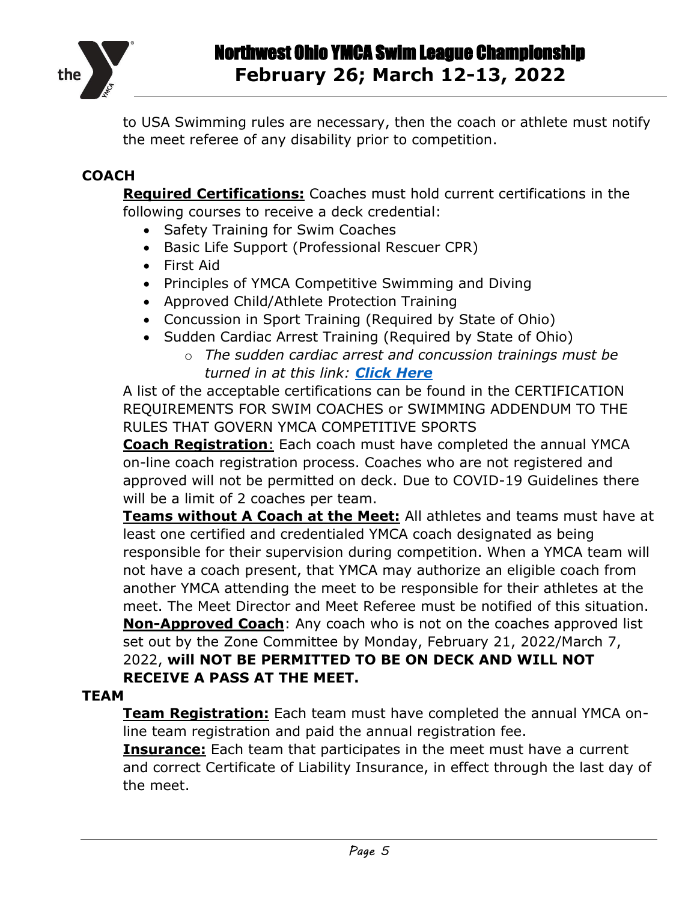

to USA Swimming rules are necessary, then the coach or athlete must notify the meet referee of any disability prior to competition.

#### **COACH**

**Required Certifications:** Coaches must hold current certifications in the following courses to receive a deck credential:

- Safety Training for Swim Coaches
- Basic Life Support (Professional Rescuer CPR)
- First Aid
- Principles of YMCA Competitive Swimming and Diving
- Approved Child/Athlete Protection Training
- Concussion in Sport Training (Required by State of Ohio)
- Sudden Cardiac Arrest Training (Required by State of Ohio)
	- o *The sudden cardiac arrest and concussion trainings must be turned in at this link: [Click Here](https://forms.gle/quFA85NXT6FvWRwX7)*

A list of the acceptable certifications can be found in the CERTIFICATION REQUIREMENTS FOR SWIM COACHES or SWIMMING ADDENDUM TO THE RULES THAT GOVERN YMCA COMPETITIVE SPORTS

**Coach Registration**: Each coach must have completed the annual YMCA on-line coach registration process. Coaches who are not registered and approved will not be permitted on deck. Due to COVID-19 Guidelines there will be a limit of 2 coaches per team.

**Teams without A Coach at the Meet:** All athletes and teams must have at least one certified and credentialed YMCA coach designated as being responsible for their supervision during competition. When a YMCA team will not have a coach present, that YMCA may authorize an eligible coach from another YMCA attending the meet to be responsible for their athletes at the meet. The Meet Director and Meet Referee must be notified of this situation. **Non-Approved Coach**: Any coach who is not on the coaches approved list set out by the Zone Committee by Monday, February 21, 2022/March 7, 2022, **will NOT BE PERMITTED TO BE ON DECK AND WILL NOT RECEIVE A PASS AT THE MEET.**

#### **TEAM**

**Team Registration:** Each team must have completed the annual YMCA online team registration and paid the annual registration fee.

**Insurance:** Each team that participates in the meet must have a current and correct Certificate of Liability Insurance, in effect through the last day of the meet.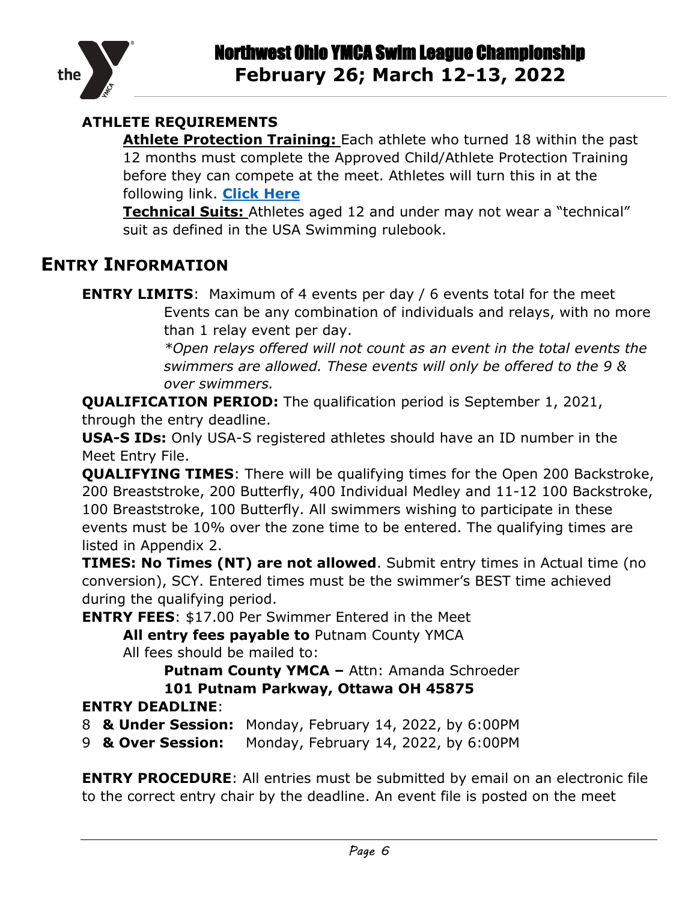

#### **ATHLETE REQUIREMENTS**

**Athlete Protection Training:** Each athlete who turned 18 within the past 12 months must complete the Approved Child/Athlete Protection Training before they can compete at the meet. Athletes will turn this in at the following link. **[Click Here](https://forms.gle/aScmM5C5giHLYeoDA)**

**Technical Suits:** Athletes aged 12 and under may not wear a "technical" suit as defined in the USA Swimming rulebook.

### <span id="page-5-0"></span>**ENTRY INFORMATION**

than 1 relay event per day.

*\*Open relays offered will not count as an event in the total events the swimmers are allowed. These events will only be offered to the 9 & over swimmers.*

**QUALIFICATION PERIOD:** The qualification period is September 1, 2021,

through the entry deadline.

**USA-S IDs:** Only USA-S registered athletes should have an ID number in the Meet Entry File.

**QUALIFYING TIMES**: There will be qualifying times for the Open 200 Backstroke, 200 Breaststroke, 200 Butterfly, 400 Individual Medley and 11-12 100 Backstroke, 100 Breaststroke, 100 Butterfly. All swimmers wishing to participate in these events must be 10% over the zone time to be entered. The qualifying times are listed in Appendix 2.

**TIMES: No Times (NT) are not allowed**. Submit entry times in Actual time (no conversion), SCY. Entered times must be the swimmer's BEST time achieved during the qualifying period.

**ENTRY FEES**: \$17.00 Per Swimmer Entered in the Meet

**All entry fees payable to** Putnam County YMCA

All fees should be mailed to:

**Putnam County YMCA –** Attn: Amanda Schroeder

#### **101 Putnam Parkway, Ottawa OH 45875**

#### **ENTRY DEADLINE**:

8 **& Under Session:** Monday, February 14, 2022, by 6:00PM

9 **& Over Session:** Monday, February 14, 2022, by 6:00PM

**ENTRY PROCEDURE:** All entries must be submitted by email on an electronic file to the correct entry chair by the deadline. An event file is posted on the meet

**ENTRY LIMITS:** Maximum of 4 events per day / 6 events total for the meet Events can be any combination of individuals and relays, with no more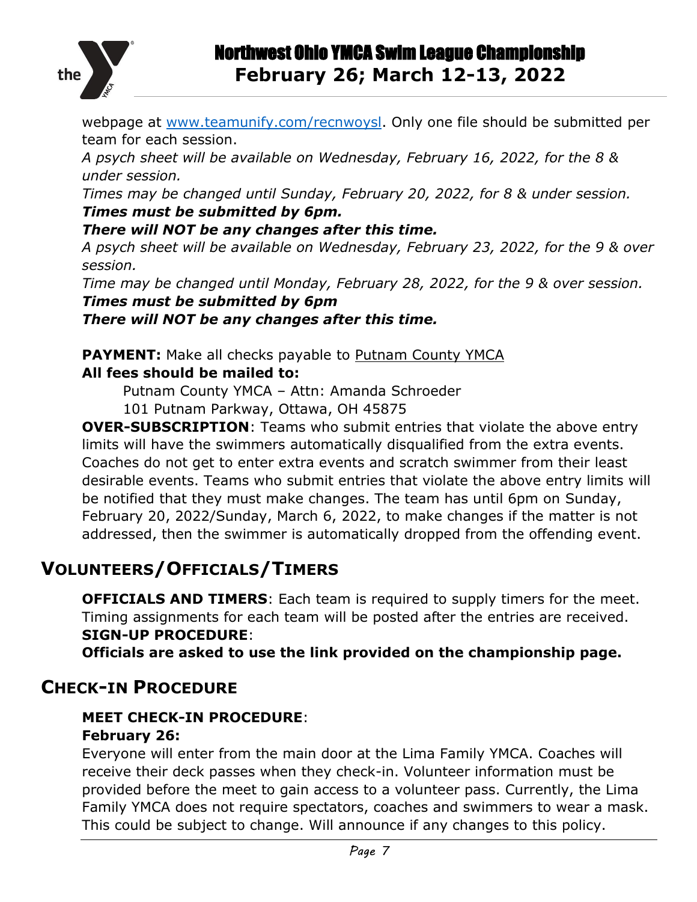

webpage at [www.teamunify.com/recnwoysl.](http://www.teamunify.com/recnwoysl) Only one file should be submitted per team for each session.

*A psych sheet will be available on Wednesday, February 16, 2022, for the 8 & under session.*

*Times may be changed until Sunday, February 20, 2022, for 8 & under session. Times must be submitted by 6pm.*

#### *There will NOT be any changes after this time.*

*A psych sheet will be available on Wednesday, February 23, 2022, for the 9 & over session.* 

*Time may be changed until Monday, February 28, 2022, for the 9 & over session. Times must be submitted by 6pm*

*There will NOT be any changes after this time.*

**PAYMENT:** Make all checks payable to Putnam County YMCA **All fees should be mailed to:**

Putnam County YMCA – Attn: Amanda Schroeder

101 Putnam Parkway, Ottawa, OH 45875

**OVER-SUBSCRIPTION**: Teams who submit entries that violate the above entry limits will have the swimmers automatically disqualified from the extra events. Coaches do not get to enter extra events and scratch swimmer from their least desirable events. Teams who submit entries that violate the above entry limits will be notified that they must make changes. The team has until 6pm on Sunday, February 20, 2022/Sunday, March 6, 2022, to make changes if the matter is not addressed, then the swimmer is automatically dropped from the offending event.

## <span id="page-6-0"></span>**VOLUNTEERS/OFFICIALS/TIMERS**

**OFFICIALS AND TIMERS**: Each team is required to supply timers for the meet. Timing assignments for each team will be posted after the entries are received. **SIGN-UP PROCEDURE**:

**Officials are asked to use the link provided on the championship page.**

### <span id="page-6-1"></span>**CHECK-IN PROCEDURE**

#### **MEET CHECK-IN PROCEDURE**: **February 26:**

#### Everyone will enter from the main door at the Lima Family YMCA. Coaches will receive their deck passes when they check-in. Volunteer information must be provided before the meet to gain access to a volunteer pass. Currently, the Lima Family YMCA does not require spectators, coaches and swimmers to wear a mask. This could be subject to change. Will announce if any changes to this policy.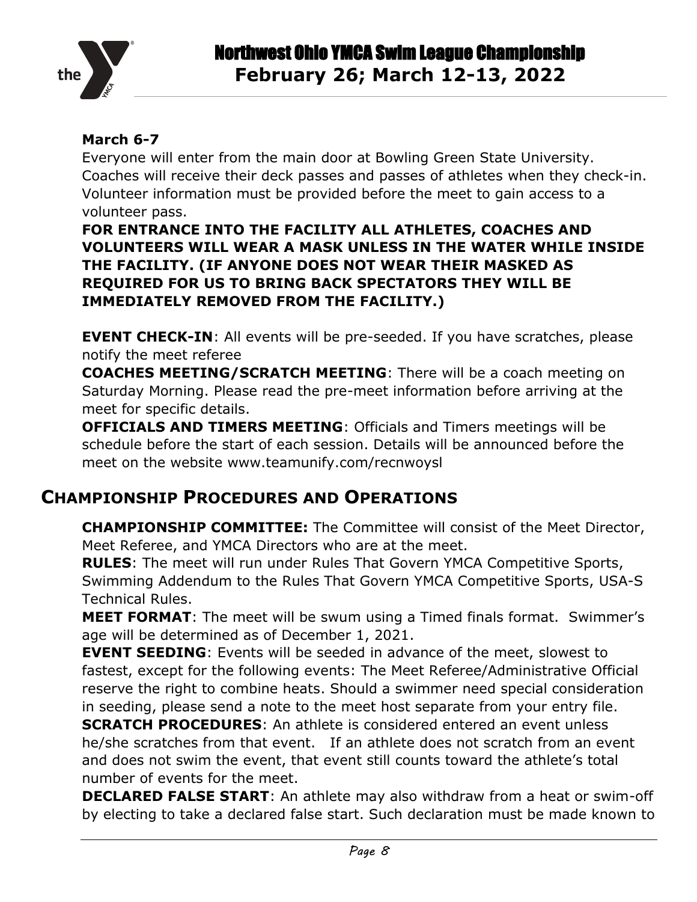

#### **March 6-7**

Everyone will enter from the main door at Bowling Green State University. Coaches will receive their deck passes and passes of athletes when they check-in. Volunteer information must be provided before the meet to gain access to a volunteer pass.

**FOR ENTRANCE INTO THE FACILITY ALL ATHLETES, COACHES AND VOLUNTEERS WILL WEAR A MASK UNLESS IN THE WATER WHILE INSIDE THE FACILITY. (IF ANYONE DOES NOT WEAR THEIR MASKED AS REQUIRED FOR US TO BRING BACK SPECTATORS THEY WILL BE IMMEDIATELY REMOVED FROM THE FACILITY.)**

**EVENT CHECK-IN:** All events will be pre-seeded. If you have scratches, please notify the meet referee

**COACHES MEETING/SCRATCH MEETING**: There will be a coach meeting on Saturday Morning. Please read the pre-meet information before arriving at the meet for specific details.

**OFFICIALS AND TIMERS MEETING**: Officials and Timers meetings will be schedule before the start of each session. Details will be announced before the meet on the website www.teamunify.com/recnwoysl

### <span id="page-7-0"></span>**CHAMPIONSHIP PROCEDURES AND OPERATIONS**

**CHAMPIONSHIP COMMITTEE:** The Committee will consist of the Meet Director, Meet Referee, and YMCA Directors who are at the meet.

**RULES**: The meet will run under Rules That Govern YMCA Competitive Sports, Swimming Addendum to the Rules That Govern YMCA Competitive Sports, USA-S Technical Rules.

**MEET FORMAT**: The meet will be swum using a Timed finals format. Swimmer's age will be determined as of December 1, 2021.

**EVENT SEEDING:** Events will be seeded in advance of the meet, slowest to fastest, except for the following events: The Meet Referee/Administrative Official reserve the right to combine heats. Should a swimmer need special consideration in seeding, please send a note to the meet host separate from your entry file.

**SCRATCH PROCEDURES**: An athlete is considered entered an event unless he/she scratches from that event. If an athlete does not scratch from an event and does not swim the event, that event still counts toward the athlete's total number of events for the meet.

**DECLARED FALSE START**: An athlete may also withdraw from a heat or swim-off by electing to take a declared false start. Such declaration must be made known to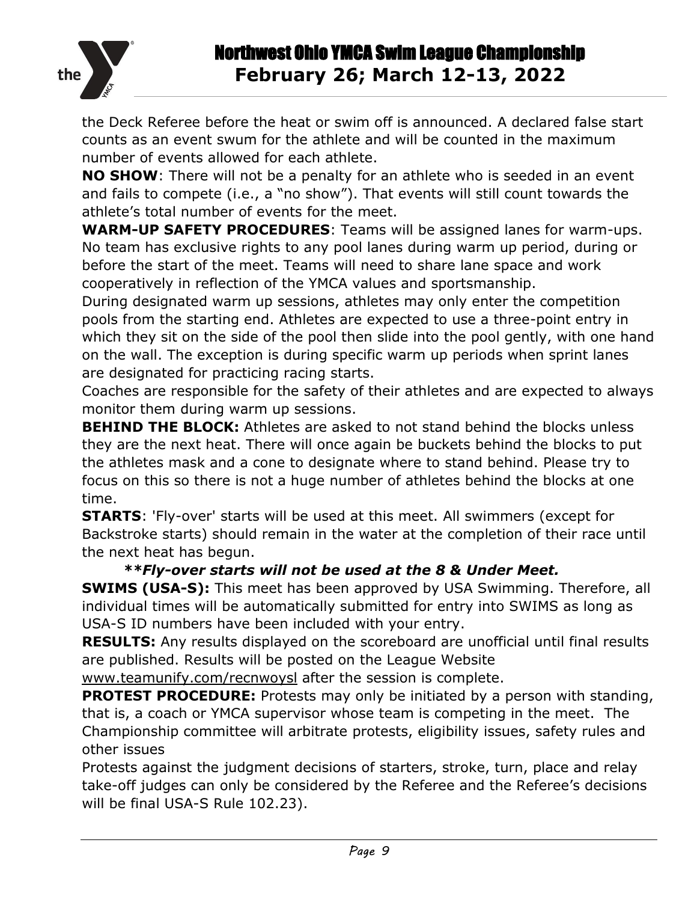

the Deck Referee before the heat or swim off is announced. A declared false start counts as an event swum for the athlete and will be counted in the maximum number of events allowed for each athlete.

**NO SHOW**: There will not be a penalty for an athlete who is seeded in an event and fails to compete (i.e., a "no show"). That events will still count towards the athlete's total number of events for the meet.

**WARM-UP SAFETY PROCEDURES**: Teams will be assigned lanes for warm-ups. No team has exclusive rights to any pool lanes during warm up period, during or before the start of the meet. Teams will need to share lane space and work cooperatively in reflection of the YMCA values and sportsmanship.

During designated warm up sessions, athletes may only enter the competition pools from the starting end. Athletes are expected to use a three-point entry in which they sit on the side of the pool then slide into the pool gently, with one hand on the wall. The exception is during specific warm up periods when sprint lanes are designated for practicing racing starts.

Coaches are responsible for the safety of their athletes and are expected to always monitor them during warm up sessions.

**BEHIND THE BLOCK:** Athletes are asked to not stand behind the blocks unless they are the next heat. There will once again be buckets behind the blocks to put the athletes mask and a cone to designate where to stand behind. Please try to focus on this so there is not a huge number of athletes behind the blocks at one time.

**STARTS**: 'Fly-over' starts will be used at this meet. All swimmers (except for Backstroke starts) should remain in the water at the completion of their race until the next heat has begun.

#### *\*\*Fly-over starts will not be used at the 8 & Under Meet.*

**SWIMS (USA-S):** This meet has been approved by USA Swimming. Therefore, all individual times will be automatically submitted for entry into SWIMS as long as USA-S ID numbers have been included with your entry.

**RESULTS:** Any results displayed on the scoreboard are unofficial until final results are published. Results will be posted on the League Website

[www.teamunify.com/recnwoysl](http://www.teamunify.com/recnwoysl) after the session is complete.

**PROTEST PROCEDURE:** Protests may only be initiated by a person with standing, that is, a coach or YMCA supervisor whose team is competing in the meet. The Championship committee will arbitrate protests, eligibility issues, safety rules and other issues

Protests against the judgment decisions of starters, stroke, turn, place and relay take-off judges can only be considered by the Referee and the Referee's decisions will be final USA-S Rule 102.23).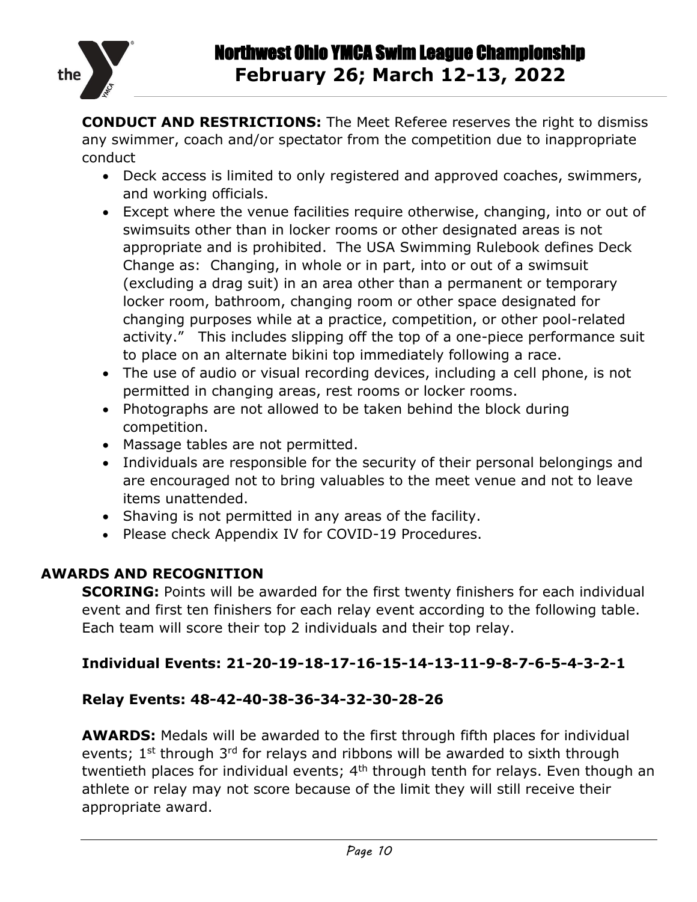

**CONDUCT AND RESTRICTIONS:** The Meet Referee reserves the right to dismiss any swimmer, coach and/or spectator from the competition due to inappropriate conduct

- Deck access is limited to only registered and approved coaches, swimmers, and working officials.
- Except where the venue facilities require otherwise, changing, into or out of swimsuits other than in locker rooms or other designated areas is not appropriate and is prohibited. The USA Swimming Rulebook defines Deck Change as: Changing, in whole or in part, into or out of a swimsuit (excluding a drag suit) in an area other than a permanent or temporary locker room, bathroom, changing room or other space designated for changing purposes while at a practice, competition, or other pool-related activity." This includes slipping off the top of a one-piece performance suit to place on an alternate bikini top immediately following a race.
- The use of audio or visual recording devices, including a cell phone, is not permitted in changing areas, rest rooms or locker rooms.
- Photographs are not allowed to be taken behind the block during competition.
- Massage tables are not permitted.
- Individuals are responsible for the security of their personal belongings and are encouraged not to bring valuables to the meet venue and not to leave items unattended.
- Shaving is not permitted in any areas of the facility.
- Please check Appendix IV for COVID-19 Procedures.

#### **AWARDS AND RECOGNITION**

**SCORING:** Points will be awarded for the first twenty finishers for each individual event and first ten finishers for each relay event according to the following table. Each team will score their top 2 individuals and their top relay.

#### **Individual Events: 21-20-19-18-17-16-15-14-13-11-9-8-7-6-5-4-3-2-1**

#### **Relay Events: 48-42-40-38-36-34-32-30-28-26**

**AWARDS:** Medals will be awarded to the first through fifth places for individual events;  $1^{st}$  through  $3^{rd}$  for relays and ribbons will be awarded to sixth through twentieth places for individual events;  $4<sup>th</sup>$  through tenth for relays. Even though an athlete or relay may not score because of the limit they will still receive their appropriate award.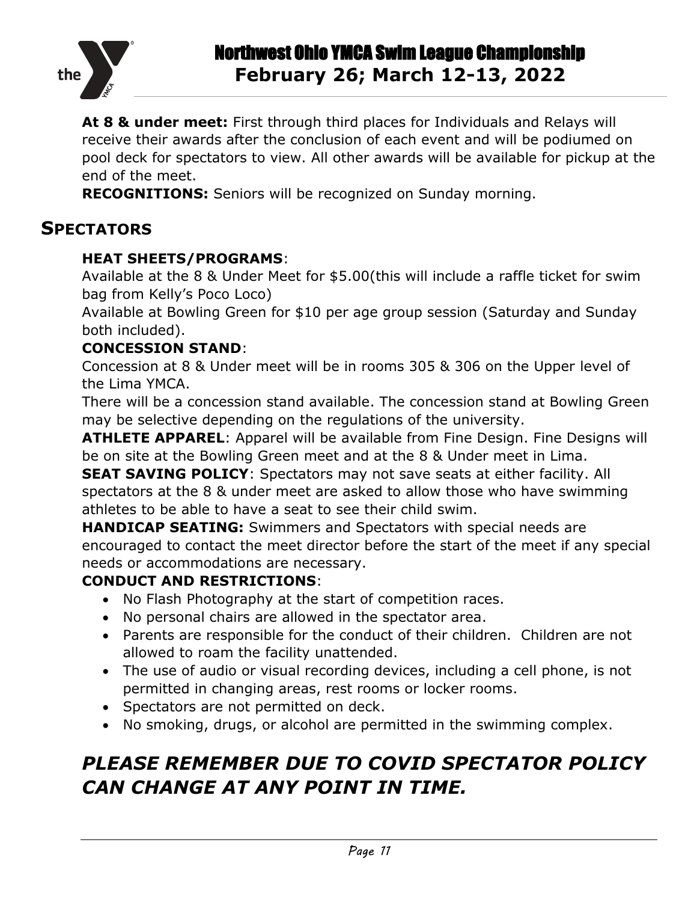

**At 8 & under meet:** First through third places for Individuals and Relays will receive their awards after the conclusion of each event and will be podiumed on pool deck for spectators to view. All other awards will be available for pickup at the end of the meet.

<span id="page-10-0"></span>**RECOGNITIONS:** Seniors will be recognized on Sunday morning.

### **SPECTATORS**

#### **HEAT SHEETS/PROGRAMS**:

Available at the 8 & Under Meet for \$5.00(this will include a raffle ticket for swim bag from Kelly's Poco Loco)

Available at Bowling Green for \$10 per age group session (Saturday and Sunday both included).

#### **CONCESSION STAND**:

Concession at 8 & Under meet will be in rooms 305 & 306 on the Upper level of the Lima YMCA.

There will be a concession stand available. The concession stand at Bowling Green may be selective depending on the regulations of the university.

**ATHLETE APPAREL**: Apparel will be available from Fine Design. Fine Designs will be on site at the Bowling Green meet and at the 8 & Under meet in Lima.

**SEAT SAVING POLICY:** Spectators may not save seats at either facility. All spectators at the 8 & under meet are asked to allow those who have swimming athletes to be able to have a seat to see their child swim.

**HANDICAP SEATING:** Swimmers and Spectators with special needs are encouraged to contact the meet director before the start of the meet if any special needs or accommodations are necessary.

#### **CONDUCT AND RESTRICTIONS**:

- No Flash Photography at the start of competition races.
- No personal chairs are allowed in the spectator area.
- Parents are responsible for the conduct of their children. Children are not allowed to roam the facility unattended.
- The use of audio or visual recording devices, including a cell phone, is not permitted in changing areas, rest rooms or locker rooms.
- Spectators are not permitted on deck.
- No smoking, drugs, or alcohol are permitted in the swimming complex.

## *PLEASE REMEMBER DUE TO COVID SPECTATOR POLICY CAN CHANGE AT ANY POINT IN TIME.*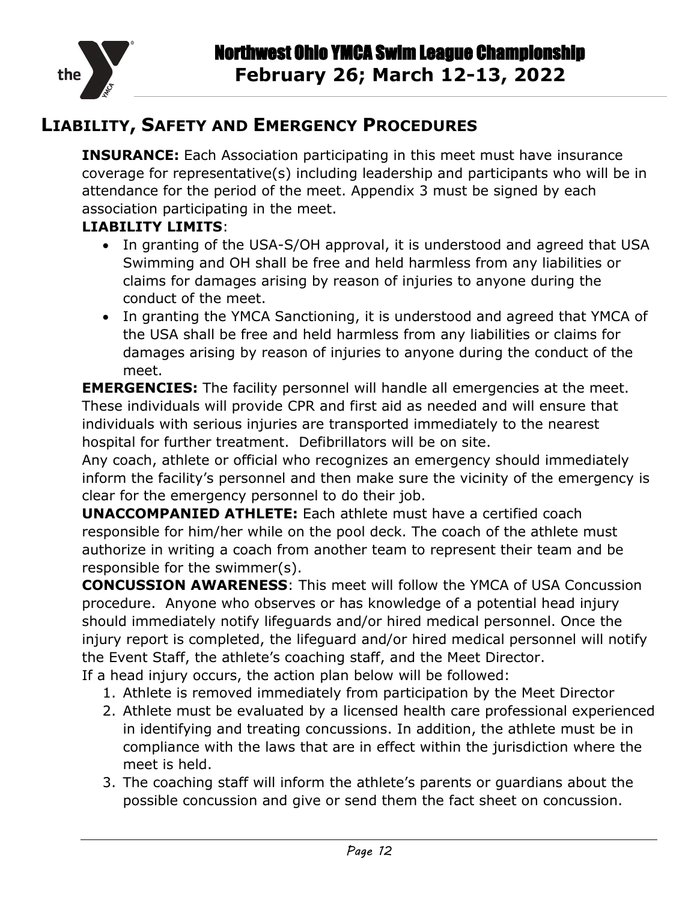

### <span id="page-11-0"></span>**LIABILITY, SAFETY AND EMERGENCY PROCEDURES**

**INSURANCE:** Each Association participating in this meet must have insurance coverage for representative(s) including leadership and participants who will be in attendance for the period of the meet. Appendix 3 must be signed by each association participating in the meet.

#### **LIABILITY LIMITS**:

- In granting of the USA-S/OH approval, it is understood and agreed that USA Swimming and OH shall be free and held harmless from any liabilities or claims for damages arising by reason of injuries to anyone during the conduct of the meet.
- In granting the YMCA Sanctioning, it is understood and agreed that YMCA of the USA shall be free and held harmless from any liabilities or claims for damages arising by reason of injuries to anyone during the conduct of the meet.

**EMERGENCIES:** The facility personnel will handle all emergencies at the meet. These individuals will provide CPR and first aid as needed and will ensure that individuals with serious injuries are transported immediately to the nearest hospital for further treatment. Defibrillators will be on site.

Any coach, athlete or official who recognizes an emergency should immediately inform the facility's personnel and then make sure the vicinity of the emergency is clear for the emergency personnel to do their job.

**UNACCOMPANIED ATHLETE:** Each athlete must have a certified coach responsible for him/her while on the pool deck. The coach of the athlete must authorize in writing a coach from another team to represent their team and be responsible for the swimmer(s).

**CONCUSSION AWARENESS**: This meet will follow the YMCA of USA Concussion procedure. Anyone who observes or has knowledge of a potential head injury should immediately notify lifeguards and/or hired medical personnel. Once the injury report is completed, the lifeguard and/or hired medical personnel will notify the Event Staff, the athlete's coaching staff, and the Meet Director.

- If a head injury occurs, the action plan below will be followed:
	- 1. Athlete is removed immediately from participation by the Meet Director
	- 2. Athlete must be evaluated by a licensed health care professional experienced in identifying and treating concussions. In addition, the athlete must be in compliance with the laws that are in effect within the jurisdiction where the meet is held.
	- 3. The coaching staff will inform the athlete's parents or guardians about the possible concussion and give or send them the fact sheet on concussion.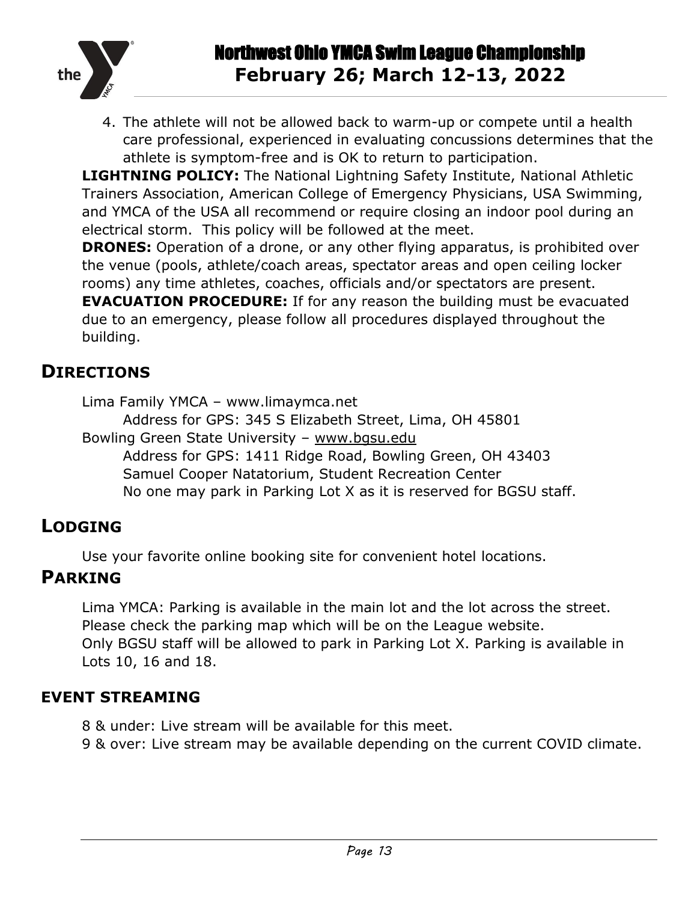

4. The athlete will not be allowed back to warm-up or compete until a health care professional, experienced in evaluating concussions determines that the athlete is symptom-free and is OK to return to participation.

**LIGHTNING POLICY:** The National Lightning Safety Institute, National Athletic Trainers Association, American College of Emergency Physicians, USA Swimming, and YMCA of the USA all recommend or require closing an indoor pool during an electrical storm. This policy will be followed at the meet.

**DRONES:** Operation of a drone, or any other flying apparatus, is prohibited over the venue (pools, athlete/coach areas, spectator areas and open ceiling locker rooms) any time athletes, coaches, officials and/or spectators are present. **EVACUATION PROCEDURE:** If for any reason the building must be evacuated

due to an emergency, please follow all procedures displayed throughout the building.

### <span id="page-12-0"></span>**DIRECTIONS**

Lima Family YMCA – www.limaymca.net

Address for GPS: 345 S Elizabeth Street, Lima, OH 45801 Bowling Green State University – [www.bgsu.edu](http://www.bgsu.edu/) Address for GPS: 1411 Ridge Road, Bowling Green, OH 43403 Samuel Cooper Natatorium, Student Recreation Center

No one may park in Parking Lot X as it is reserved for BGSU staff.

## <span id="page-12-1"></span>**LODGING**

Use your favorite online booking site for convenient hotel locations.

## <span id="page-12-2"></span>**PARKING**

Lima YMCA: Parking is available in the main lot and the lot across the street. Please check the parking map which will be on the League website. Only BGSU staff will be allowed to park in Parking Lot X. Parking is available in Lots 10, 16 and 18.

### <span id="page-12-3"></span>**EVENT STREAMING**

- 8 & under: Live stream will be available for this meet.
- 9 & over: Live stream may be available depending on the current COVID climate.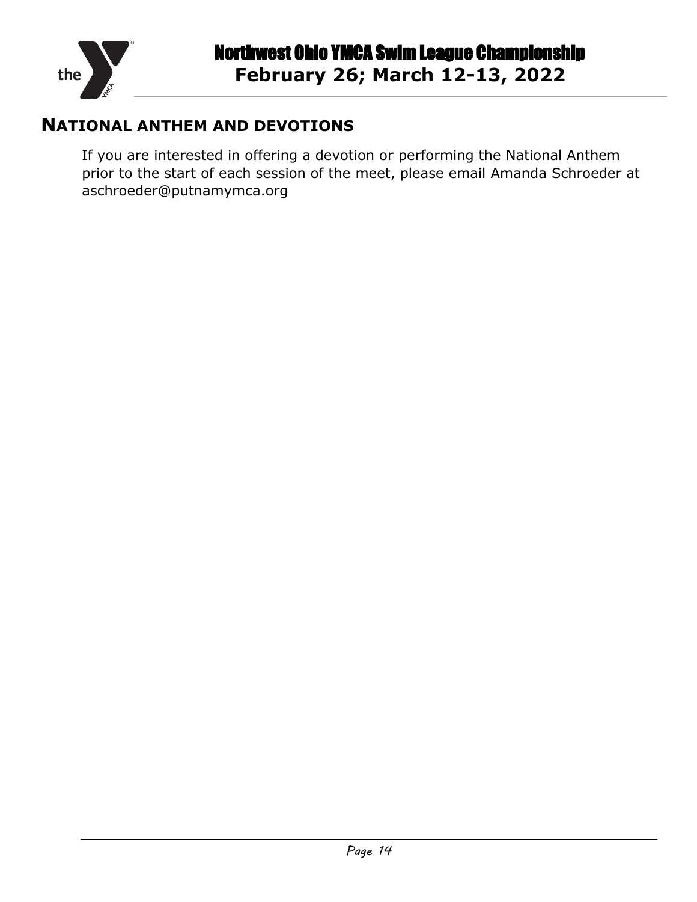

### <span id="page-13-0"></span>**NATIONAL ANTHEM AND DEVOTIONS**

If you are interested in offering a devotion or performing the National Anthem prior to the start of each session of the meet, please email Amanda Schroeder at aschroeder@putnamymca.org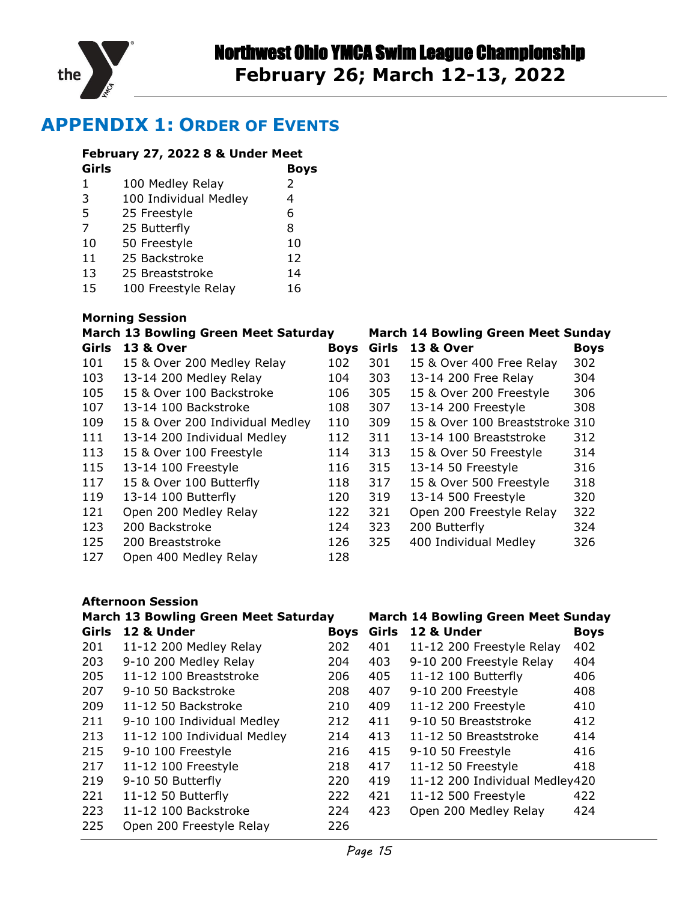

### <span id="page-14-0"></span>**APPENDIX 1: ORDER OF EVENTS**

#### **February 27, 2022 8 & Under Meet**

| Girls |                       | <b>Boys</b> |
|-------|-----------------------|-------------|
| 1     | 100 Medley Relay      | 2           |
| 3     | 100 Individual Medley | 4           |
| .5    | 25 Freestyle          | 6           |
| 7     | 25 Butterfly          | 8           |
| 10    | 50 Freestyle          | 10          |
| 11    | 25 Backstroke         | 12          |
| 13    | 25 Breaststroke       | 14          |
| 15    | 100 Freestyle Relay   | 16          |

#### **Morning Session**

|       | <b>March 13 Bowling Green Meet Saturday</b> |             |       | <b>March 14 Bowling Green Meet Sunday</b> |             |
|-------|---------------------------------------------|-------------|-------|-------------------------------------------|-------------|
| Girls | <b>13 &amp; Over</b>                        | <b>Boys</b> | Girls | <b>13 &amp; Over</b>                      | <b>Boys</b> |
| 101   | 15 & Over 200 Medley Relay                  | 102         | 301   | 15 & Over 400 Free Relay                  | 302         |
| 103   | 13-14 200 Medley Relay                      | 104         | 303   | 13-14 200 Free Relay                      | 304         |
| 105   | 15 & Over 100 Backstroke                    | 106         | 305   | 15 & Over 200 Freestyle                   | 306         |
| 107   | 13-14 100 Backstroke                        | 108         | 307   | 13-14 200 Freestyle                       | 308         |
| 109   | 15 & Over 200 Individual Medley             | 110         | 309   | 15 & Over 100 Breaststroke 310            |             |
| 111   | 13-14 200 Individual Medley                 | 112         | 311   | 13-14 100 Breaststroke                    | 312         |
| 113   | 15 & Over 100 Freestyle                     | 114         | 313   | 15 & Over 50 Freestyle                    | 314         |
| 115   | 13-14 100 Freestyle                         | 116         | 315   | 13-14 50 Freestyle                        | 316         |
| 117   | 15 & Over 100 Butterfly                     | 118         | 317   | 15 & Over 500 Freestyle                   | 318         |
| 119   | 13-14 100 Butterfly                         | 120         | 319   | 13-14 500 Freestyle                       | 320         |
| 121   | Open 200 Medley Relay                       | 122         | 321   | Open 200 Freestyle Relay                  | 322         |
| 123   | 200 Backstroke                              | 124         | 323   | 200 Butterfly                             | 324         |
| 125   | 200 Breaststroke                            | 126         | 325   | 400 Individual Medley                     | 326         |
| 127   | Open 400 Medley Relay                       | 128         |       |                                           |             |

#### **Afternoon Session**

|       | <b>March 13 Bowling Green Meet Saturday</b> |             |       | <b>March 14 Bowling Green Meet Sunday</b> |             |
|-------|---------------------------------------------|-------------|-------|-------------------------------------------|-------------|
| Girls | 12 & Under                                  | <b>Boys</b> | Girls | 12 & Under                                | <b>Boys</b> |
| 201   | 11-12 200 Medley Relay                      | 202         | 401   | 11-12 200 Freestyle Relay                 | 402         |
| 203   | 9-10 200 Medley Relay                       | 204         | 403   | 9-10 200 Freestyle Relay                  | 404         |
| 205   | 11-12 100 Breaststroke                      | 206         | 405   | 11-12 100 Butterfly                       | 406         |
| 207   | 9-10 50 Backstroke                          | 208         | 407   | 9-10 200 Freestyle                        | 408         |
| 209   | 11-12 50 Backstroke                         | 210         | 409   | 11-12 200 Freestyle                       | 410         |
| 211   | 9-10 100 Individual Medley                  | 212         | 411   | 9-10 50 Breaststroke                      | 412         |
| 213   | 11-12 100 Individual Medley                 | 214         | 413   | 11-12 50 Breaststroke                     | 414         |
| 215   | 9-10 100 Freestyle                          | 216         | 415   | 9-10 50 Freestyle                         | 416         |
| 217   | 11-12 100 Freestyle                         | 218         | 417   | 11-12 50 Freestyle                        | 418         |
| 219   | 9-10 50 Butterfly                           | 220         | 419   | 11-12 200 Individual Medley420            |             |
| 221   | 11-12 50 Butterfly                          | 222         | 421   | 11-12 500 Freestyle                       | 422         |
| 223   | 11-12 100 Backstroke                        | 224         | 423   | Open 200 Medley Relay                     | 424         |
| 225   | Open 200 Freestyle Relay                    | 226         |       |                                           |             |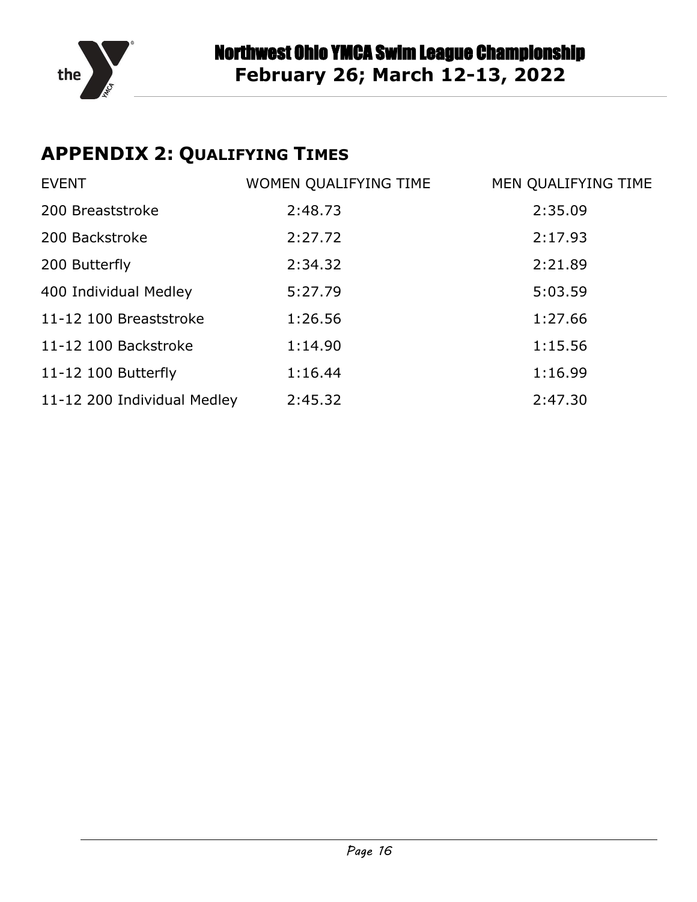

## <span id="page-15-0"></span>**APPENDIX 2: QUALIFYING TIMES**

| <b>EVENT</b>                | WOMEN QUALIFYING TIME | MEN QUALIFYING TIME |
|-----------------------------|-----------------------|---------------------|
| 200 Breaststroke            | 2:48.73               | 2:35.09             |
| 200 Backstroke              | 2:27.72               | 2:17.93             |
| 200 Butterfly               | 2:34.32               | 2:21.89             |
| 400 Individual Medley       | 5:27.79               | 5:03.59             |
| 11-12 100 Breaststroke      | 1:26.56               | 1:27.66             |
| 11-12 100 Backstroke        | 1:14.90               | 1:15.56             |
| 11-12 100 Butterfly         | 1:16.44               | 1:16.99             |
| 11-12 200 Individual Medley | 2:45.32               | 2:47.30             |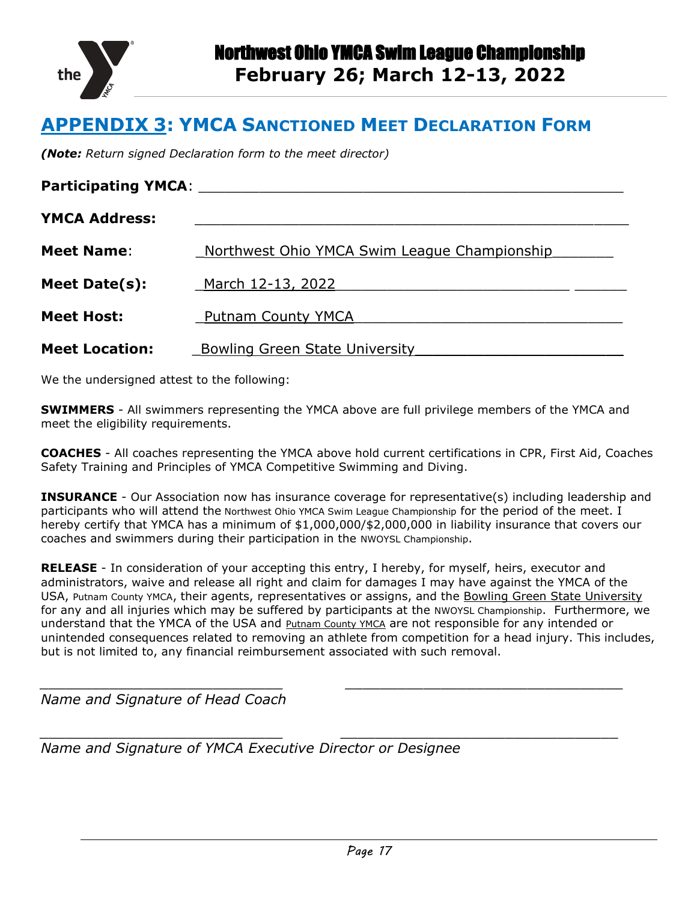

### <span id="page-16-0"></span>**APPENDIX 3: YMCA SANCTIONED MEET DECLARATION FORM**

*(Note: Return signed Declaration form to the meet director)*

| <b>Participating YMCA:</b> |                                              |
|----------------------------|----------------------------------------------|
| <b>YMCA Address:</b>       |                                              |
| <b>Meet Name:</b>          | Northwest Ohio YMCA Swim League Championship |
| Meet Date(s):              | March 12-13, 2022                            |
| <b>Meet Host:</b>          | <b>Putnam County YMCA</b>                    |
| <b>Meet Location:</b>      | <b>Bowling Green State University</b>        |

We the undersigned attest to the following:

**SWIMMERS** - All swimmers representing the YMCA above are full privilege members of the YMCA and meet the eligibility requirements.

**COACHES** - All coaches representing the YMCA above hold current certifications in CPR, First Aid, Coaches Safety Training and Principles of YMCA Competitive Swimming and Diving.

**INSURANCE** - Our Association now has insurance coverage for representative(s) including leadership and participants who will attend the Northwest Ohio YMCA Swim League Championship for the period of the meet. I hereby certify that YMCA has a minimum of \$1,000,000/\$2,000,000 in liability insurance that covers our coaches and swimmers during their participation in the NWOYSL Championship.

**RELEASE** - In consideration of your accepting this entry, I hereby, for myself, heirs, executor and administrators, waive and release all right and claim for damages I may have against the YMCA of the USA, Putnam County YMCA, their agents, representatives or assigns, and the Bowling Green State University for any and all injuries which may be suffered by participants at the NWOYSL Championship. Furthermore, we understand that the YMCA of the USA and Putnam County YMCA are not responsible for any intended or unintended consequences related to removing an athlete from competition for a head injury. This includes, but is not limited to, any financial reimbursement associated with such removal.

*\_\_\_\_\_\_\_\_\_\_\_\_\_\_\_\_\_\_\_\_\_\_\_\_\_\_\_\_ \_\_\_\_\_\_\_\_\_\_\_\_\_\_\_\_\_\_\_\_\_\_\_\_\_\_\_\_\_\_\_\_*

*\_\_\_\_\_\_\_\_\_\_\_\_\_\_\_\_\_\_\_\_\_\_\_\_\_\_\_\_ \_\_\_\_\_\_\_\_\_\_\_\_\_\_\_\_\_\_\_\_\_\_\_\_\_\_\_\_\_\_\_\_*

*Name and Signature of Head Coach*

*Name and Signature of YMCA Executive Director or Designee*